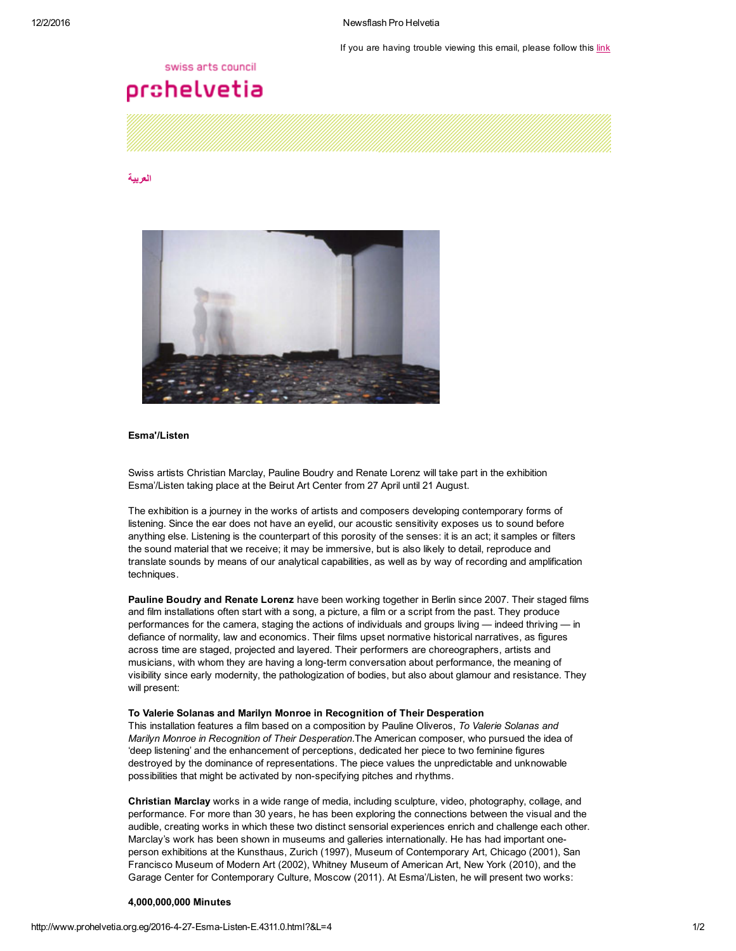If you are having trouble viewing this email, please follow this [link](http://www.prohelvetia.org.eg/4311.0.html?&showInBrowserView=1)

## swiss arts council

# prohelvetia

#### [العربية](http://www.prohelvetia.org.eg/4310.0.html)



## Esma'/Listen

Swiss artists Christian Marclay, Pauline Boudry and Renate Lorenz will take part in the exhibition Esma'/Listen taking place at the Beirut Art Center from 27 April until 21 August.

The exhibition is a journey in the works of artists and composers developing contemporary forms of listening. Since the ear does not have an eyelid, our acoustic sensitivity exposes us to sound before anything else. Listening is the counterpart of this porosity of the senses: it is an act; it samples or filters the sound material that we receive; it may be immersive, but is also likely to detail, reproduce and translate sounds by means of our analytical capabilities, as well as by way of recording and amplification techniques.

Pauline Boudry and Renate Lorenz have been working together in Berlin since 2007. Their staged films and film installations often start with a song, a picture, a film or a script from the past. They produce performances for the camera, staging the actions of individuals and groups living — indeed thriving — in defiance of normality, law and economics. Their films upset normative historical narratives, as figures across time are staged, projected and layered. Their performers are choreographers, artists and musicians, with whom they are having a long-term conversation about performance, the meaning of visibility since early modernity, the pathologization of bodies, but also about glamour and resistance. They will present:

#### To Valerie Solanas and Marilyn Monroe in Recognition of Their Desperation

This installation features a film based on a composition by Pauline Oliveros, To Valerie Solanas and Marilyn Monroe in Recognition of Their Desperation.The American composer, who pursued the idea of 'deep listening' and the enhancement of perceptions, dedicated her piece to two feminine figures destroyed by the dominance of representations. The piece values the unpredictable and unknowable possibilities that might be activated by non-specifying pitches and rhythms.

Christian Marclay works in a wide range of media, including sculpture, video, photography, collage, and performance. For more than 30 years, he has been exploring the connections between the visual and the audible, creating works in which these two distinct sensorial experiences enrich and challenge each other. Marclay's work has been shown in museums and galleries internationally. He has had important oneperson exhibitions at the Kunsthaus, Zurich (1997), Museum of Contemporary Art, Chicago (2001), San Francisco Museum of Modern Art (2002), Whitney Museum of American Art, New York (2010), and the Garage Center for Contemporary Culture, Moscow (2011). At Esma'/Listen, he will present two works:

#### 4,000,000,000 Minutes